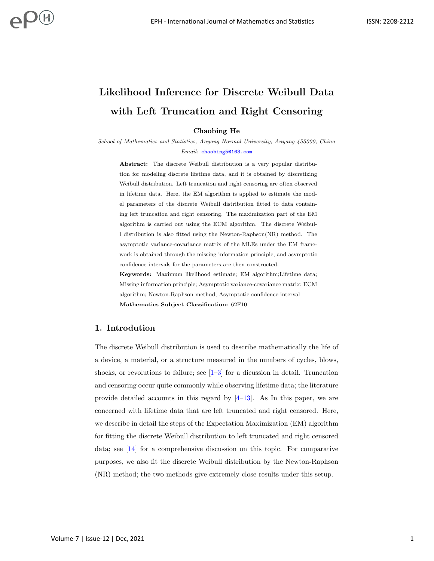# Likelihood Inference for Discrete Weibull Data with Left Truncation and Right Censoring

Chaobing He

School of Mathematics and Statistics, Anyang Normal University, Anyang 455000, China Email: [chaobing5@163.com](mailto:chaobing5@163.com)

Abstract: The discrete Weibull distribution is a very popular distribution for modeling discrete lifetime data, and it is obtained by discretizing Weibull distribution. Left truncation and right censoring are often observed in lifetime data. Here, the EM algorithm is applied to estimate the model parameters of the discrete Weibull distribution fitted to data containing left truncation and right censoring. The maximization part of the EM algorithm is carried out using the ECM algorithm. The discrete Weibull distribution is also fitted using the Newton-Raphson(NR) method. The asymptotic variance-covariance matrix of the MLEs under the EM framework is obtained through the missing information principle, and asymptotic confidence intervals for the parameters are then constructed.

Keywords: Maximum likelihood estimate; EM algorithm;Lifetime data; Missing information principle; Asymptotic variance-covariance matrix; ECM algorithm; Newton-Raphson method; Asymptotic confidence interval Mathematics Subject Classification: 62F10

# 1. Introdution

The discrete Weibull distribution is used to describe mathematically the life of a device, a material, or a structure measured in the numbers of cycles, blows, shocks, or revolutions to failure; see  $[1-3]$  $[1-3]$  for a dicussion in detail. Truncation and censoring occur quite commonly while observing lifetime data; the literature provide detailed accounts in this regard by  $[4-13]$  $[4-13]$ . As In this paper, we are concerned with lifetime data that are left truncated and right censored. Here, we describe in detail the steps of the Expectation Maximization (EM) algorithm for fitting the discrete Weibull distribution to left truncated and right censored data; see [\[14\]](#page-10-1) for a comprehensive discussion on this topic. For comparative purposes, we also fit the discrete Weibull distribution by the Newton-Raphson (NR) method; the two methods give extremely close results under this setup.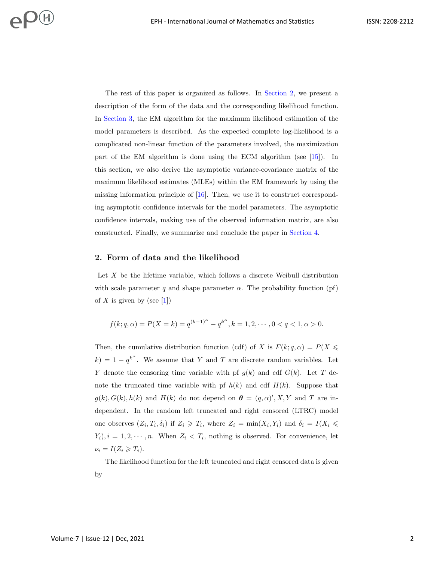The rest of this paper is organized as follows. In [Section 2,](#page-1-0) we present a description of the form of the data and the corresponding likelihood function. In [Section 3,](#page-2-0) the EM algorithm for the maximum likelihood estimation of the model parameters is described. As the expected complete log-likelihood is a complicated non-linear function of the parameters involved, the maximization part of the EM algorithm is done using the ECM algorithm (see [\[15\]](#page-10-2)). In this section, we also derive the asymptotic variance-covariance matrix of the maximum likelihood estimates (MLEs) within the EM framework by using the missing information principle of [\[16\]](#page-10-3). Then, we use it to construct corresponding asymptotic confidence intervals for the model parameters. The asymptotic confidence intervals, making use of the observed information matrix, are also constructed. Finally, we summarize and conclude the paper in [Section 4.](#page-9-3)

# <span id="page-1-0"></span>2. Form of data and the likelihood

Let X be the lifetime variable, which follows a discrete Weibull distribution with scale parameter q and shape parameter  $\alpha$ . The probability function (pf) of X is given by (see [\[1\]](#page-9-0))

$$
f(k;q,\alpha) = P(X=k) = q^{(k-1)^{\alpha}} - q^{k^{\alpha}}, k = 1, 2, \cdots, 0 < q < 1, \alpha > 0.
$$

Then, the cumulative distribution function (cdf) of X is  $F(k; q, \alpha) = P(X \leq \alpha)$  $k$ ) = 1 –  $q^{k^{\alpha}}$ . We assume that Y and T are discrete random variables. Let Y denote the censoring time variable with pf  $g(k)$  and cdf  $G(k)$ . Let T denote the truncated time variable with pf  $h(k)$  and cdf  $H(k)$ . Suppose that  $g(k)$ ,  $G(k)$ ,  $h(k)$  and  $H(k)$  do not depend on  $\boldsymbol{\theta} = (q, \alpha)'$ , X, Y and T are independent. In the random left truncated and right censored (LTRC) model one observes  $(Z_i, T_i, \delta_i)$  if  $Z_i \geq T_i$ , where  $Z_i = \min(X_i, Y_i)$  and  $\delta_i = I(X_i \leq \delta_i)$  $(Y_i), i = 1, 2, \dots, n$ . When  $Z_i < T_i$ , nothing is observed. For convenience, let  $\nu_i = I(Z_i \geq T_i).$ 

The likelihood function for the left truncated and right censored data is given by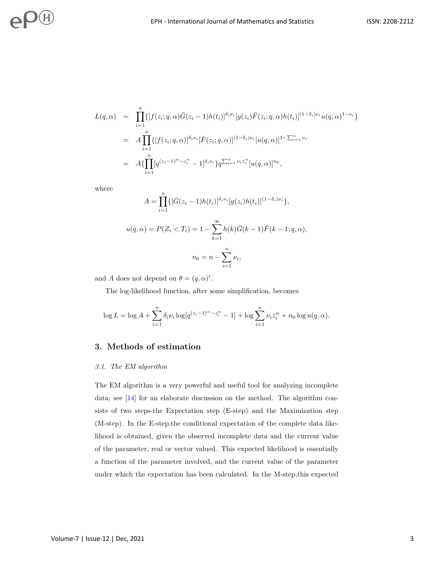$$
L(q,\alpha) = \prod_{i=1}^{n} \{ [f(z_i; q, \alpha) \bar{G}(z_i - 1) h(t_i)]^{\delta_i \nu_i} [g(z_i) \bar{F}(z_i; q, \alpha) h(t_i)]^{(1-\delta_i)\nu_i} u(q, \alpha)^{1-\nu_i} \}
$$
  
\n
$$
= A \prod_{i=1}^{n} \{ [f(z_i; q, \alpha)]^{\delta_i \nu_i} [\bar{F}(z_i; q, \alpha)]^{(1-\delta_i)\nu_i} [u(q, \alpha)]^{1-\sum_{i=1}^{n} \nu_i} \}
$$
  
\n
$$
= A \{\prod_{i=1}^{n} [q^{(z_i-1)^{\alpha} - z_i^{\alpha}} - 1]^{\delta_i \nu_i} \} q^{\sum_{i=1}^{n} \nu_i z_i^{\alpha}} [u(q, \alpha)]^{n_0},
$$

where

$$
A = \prod_{i=1}^{n} \{ [\bar{G}(z_i - 1)h(t_i)]^{\delta_i \nu_i} [g(z_i)h(t_i)]^{(1 - \delta_i)\nu_i} \},
$$
  

$$
u(q, \alpha) = P(Z_i < T_i) = 1 - \sum_{k=1}^{\infty} h(k)\bar{G}(k - 1)\bar{F}(k - 1; q, \alpha),
$$
  

$$
n_0 = n - \sum_{i=1}^{n} \nu_i,
$$

and A does not depend on  $\theta = (q, \alpha)'.$ 

The log-likelihood function, after some simplification, becomes

$$
\log L = \log A + \sum_{i=1}^{n} \delta_i \nu_i \log[q^{(z_i - 1)^{\alpha} - z_i^{\alpha}} - 1] + \log \sum_{i=1}^{n} \nu_i z_i^{\alpha} + n_0 \log u(q, \alpha).
$$

# <span id="page-2-0"></span>3. Methods of estimation

#### 3.1. The EM algorithm

The EM algorithm is a very powerful and useful tool for analyzing incomplete data; see [\[14\]](#page-10-1) for an elaborate discussion on the method. The algorithm consists of two steps-the Expectation step (E-step) and the Maximization step (M-step). In the E-step,the conditional expectation of the complete data likelihood is obtained, given the observed incomplete data and the current value of the parameter, real or vector valued. This expected likelihood is essentially a function of the parameter involved, and the current value of the parameter under which the expectation has been calculated. In the M-step,this expected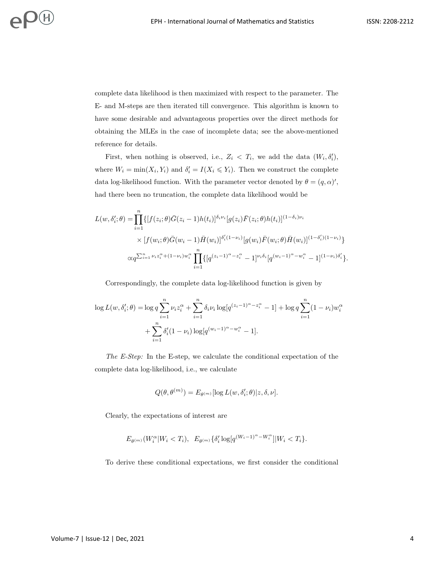complete data likelihood is then maximized with respect to the parameter. The E- and M-steps are then iterated till convergence. This algorithm is known to have some desirable and advantageous properties over the direct methods for obtaining the MLEs in the case of incomplete data; see the above-mentioned reference for details.

First, when nothing is observed, i.e.,  $Z_i \, < \, T_i$ , we add the data  $(W_i, \delta'_i)$ , where  $W_i = \min(X_i, Y_i)$  and  $\delta'_i = I(X_i \leq Y_i)$ . Then we construct the complete data log-likelihood function. With the parameter vector denoted by  $\theta = (q, \alpha)'$ , had there been no truncation, the complete data likelihood would be

$$
L(w, \delta'_i; \theta) = \prod_{i=1}^n \{ [f(z_i; \theta) \bar{G}(z_i - 1) h(t_i)]^{\delta_i \nu_i} [g(z_i) \bar{F}(z_i; \theta) h(t_i)]^{(1 - \delta_i) \nu_i} \times [f(w_i; \theta) \bar{G}(w_i - 1) \bar{H}(w_i)]^{\delta'_i (1 - \nu_i)} [g(w_i) \bar{F}(w_i; \theta) \bar{H}(w_i)]^{(1 - \delta'_i)(1 - \nu_i)} \} \times \alpha q^{\sum_{i=1}^n \nu_i z_i^{\alpha} + (1 - \nu_i) w_i^{\alpha}} \prod_{i=1}^n \{ [q^{(z_i - 1)^{\alpha} - z_i^{\alpha}} - 1]^{\nu_i \delta_i} [q^{(w_i - 1)^{\alpha} - w_i^{\alpha}} - 1]^{(1 - \nu_i) \delta'_i} \}.
$$

Correspondingly, the complete data log-likelihood function is given by

$$
\log L(w, \delta'_i; \theta) = \log q \sum_{i=1}^n \nu_i z_i^{\alpha} + \sum_{i=1}^n \delta_i \nu_i \log[q^{(z_i-1)^{\alpha} - z_i^{\alpha}} - 1] + \log q \sum_{i=1}^n (1 - \nu_i) w_i^{\alpha}
$$

$$
+ \sum_{i=1}^n \delta'_i (1 - \nu_i) \log[q^{(w_i-1)^{\alpha} - w_i^{\alpha}} - 1].
$$

The E-Step: In the E-step, we calculate the conditional expectation of the complete data log-likelihood, i.e., we calculate

$$
Q(\theta, \theta^{(m)}) = E_{\theta^{(m)}}[\log L(w, \delta_i'; \theta) | z, \delta, \nu].
$$

Clearly, the expectations of interest are

$$
E_{\theta^{(m)}}(W_i^{\alpha}|W_i < T_i), \ E_{\theta^{(m)}}\{\delta_i' \log[q^{(W_i - 1)^{\alpha} - W_i^{\alpha}}]|W_i < T_i\}.
$$

To derive these conditional expectations, we first consider the conditional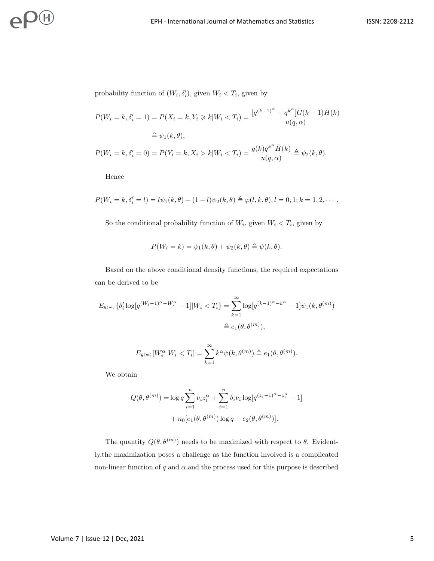probability function of  $(W_i, \delta'_i)$ , given  $W_i < T_i$ , given by

$$
P(W_i = k, \delta'_i = 1) = P(X_i = k, Y_i \ge k | W_i < T_i) = \frac{[q^{(k-1)^{\alpha}} - q^{k^{\alpha}}] \bar{G}(k-1) \bar{H}(k)}{u(q, \alpha)}
$$
\n
$$
\triangleq \psi_1(k, \theta),
$$
\n
$$
P(W_i = k, \delta'_i = 0) = P(Y_i = k, X_i > k | W_i < T_i) = \frac{g(k) q^{k^{\alpha}} \bar{H}(k)}{u(q, \alpha)} \triangleq \psi_2(k, \theta).
$$

Hence

$$
P(W_i = k, \delta'_i = l) = l\psi_1(k, \theta) + (1 - l)\psi_2(k, \theta) \triangleq \varphi(l, k, \theta), l = 0, 1; k = 1, 2, \cdots.
$$

So the conditional probability function of  $W_i$ , given  $W_i < T_i$ , given by

$$
P(W_i = k) = \psi_1(k, \theta) + \psi_2(k, \theta) \triangleq \psi(k, \theta).
$$

Based on the above conditional density functions, the required expectations can be derived to be

$$
E_{\theta^{(m)}}\{\delta_i' \log[q^{(W_i-1)^{\alpha}-W_i^{\alpha}}-1]|W_i < T_i\} = \sum_{k=1}^{\infty} \log[q^{(k-1)^{\alpha}-k^{\alpha}}-1] \psi_1(k, \theta^{(m)})
$$
\n
$$
\triangleq e_1(\theta, \theta^{(m)}),
$$

$$
E_{\theta^{(m)}}[W_i^{\alpha}|W_i < T_i] = \sum_{k=1}^{\infty} k^{\alpha} \psi(k, \theta^{(m)}) \triangleq e_1(\theta, \theta^{(m)}).
$$

We obtain

$$
Q(\theta, \theta^{(m)}) = \log q \sum_{i=1}^{n} \nu_i z_i^{\alpha} + \sum_{i=1}^{n} \delta_i \nu_i \log[q^{(z_i - 1)^{\alpha} - z_i^{\alpha}} - 1] + n_0 [e_1(\theta, \theta^{(m)}) \log q + e_2(\theta, \theta^{(m)})].
$$

The quantity  $Q(\theta, \theta^{(m)})$  needs to be maximized with respect to  $\theta$ . Evidently,the maximization poses a challenge as the function involved is a complicated non-linear function of  $q$  and  $\alpha$ , and the process used for this purpose is described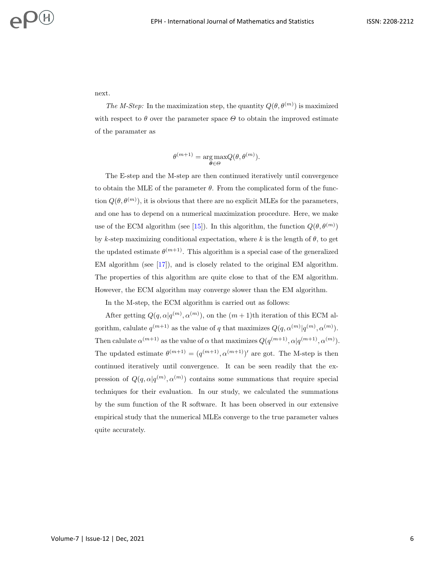next.

The M-Step: In the maximization step, the quantity  $Q(\theta, \theta^{(m)})$  is maximized with respect to  $\theta$  over the parameter space  $\Theta$  to obtain the improved estimate of the paramater as

$$
\theta^{(m+1)} = \underset{\boldsymbol{\theta} \in \Theta}{\arg \max} Q(\boldsymbol{\theta}, \boldsymbol{\theta}^{(m)}).
$$

The E-step and the M-step are then continued iteratively until convergence to obtain the MLE of the parameter  $\theta$ . From the complicated form of the function  $Q(\theta, \theta^{(m)})$ , it is obvious that there are no explicit MLEs for the parameters, and one has to depend on a numerical maximization procedure. Here, we make use of the ECM algorithm (see [\[15\]](#page-10-2)). In this algorithm, the function  $Q(\theta, \theta^{(m)})$ by k-step maximizing conditional expectation, where k is the length of  $\theta$ , to get the updated estimate  $\theta^{(m+1)}$ . This algorithm is a special case of the generalized EM algorithm (see [\[17\]](#page-10-4)), and is closely related to the original EM algorithm. The properties of this algorithm are quite close to that of the EM algorithm. However, the ECM algorithm may converge slower than the EM algorithm.

In the M-step, the ECM algorithm is carried out as follows:

After getting  $Q(q, \alpha | q^{(m)}, \alpha^{(m)})$ , on the  $(m+1)$ th iteration of this ECM algorithm, calulate  $q^{(m+1)}$  as the value of q that maximizes  $Q(q, \alpha^{(m)} | q^{(m)}, \alpha^{(m)})$ . Then calulate  $\alpha^{(m+1)}$  as the value of  $\alpha$  that maximizes  $Q(q^{(m+1)}, \alpha|q^{(m+1)}, \alpha^{(m)})$ . The updated estimate  $\theta^{(m+1)} = (q^{(m+1)}, \alpha^{(m+1)})'$  are got. The M-step is then continued iteratively until convergence. It can be seen readily that the expression of  $Q(q, \alpha | q^{(m)}, \alpha^{(m)})$  contains some summations that require special techniques for their evaluation. In our study, we calculated the summations by the sum function of the R software. It has been observed in our extensive empirical study that the numerical MLEs converge to the true parameter values quite accurately.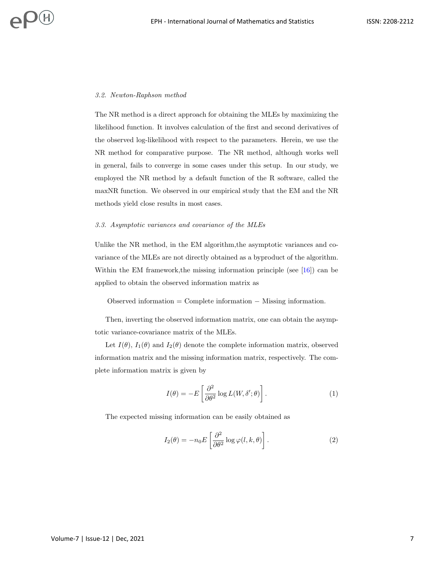#### 3.2. Newton-Raphson method

 $\mathcal{D}(H)$ 

The NR method is a direct approach for obtaining the MLEs by maximizing the likelihood function. It involves calculation of the first and second derivatives of the observed log-likelihood with respect to the parameters. Herein, we use the NR method for comparative purpose. The NR method, although works well in general, fails to converge in some cases under this setup. In our study, we employed the NR method by a default function of the R software, called the maxNR function. We observed in our empirical study that the EM and the NR methods yield close results in most cases.

#### 3.3. Asymptotic variances and covariance of the MLEs

Unlike the NR method, in the EM algorithm,the asymptotic variances and covariance of the MLEs are not directly obtained as a byproduct of the algorithm. Within the EM framework,the missing information principle (see [\[16\]](#page-10-3)) can be applied to obtain the observed information matrix as

Observed information = Complete information − Missing information.

Then, inverting the observed information matrix, one can obtain the asymptotic variance-covariance matrix of the MLEs.

Let  $I(\theta)$ ,  $I_1(\theta)$  and  $I_2(\theta)$  denote the complete information matrix, observed information matrix and the missing information matrix, respectively. The complete information matrix is given by

$$
I(\theta) = -E\left[\frac{\partial^2}{\partial \theta^2} \log L(W, \delta'; \theta)\right].
$$
 (1)

The expected missing information can be easily obtained as

$$
I_2(\theta) = -n_0 E \left[ \frac{\partial^2}{\partial \theta^2} \log \varphi(l, k, \theta) \right]. \tag{2}
$$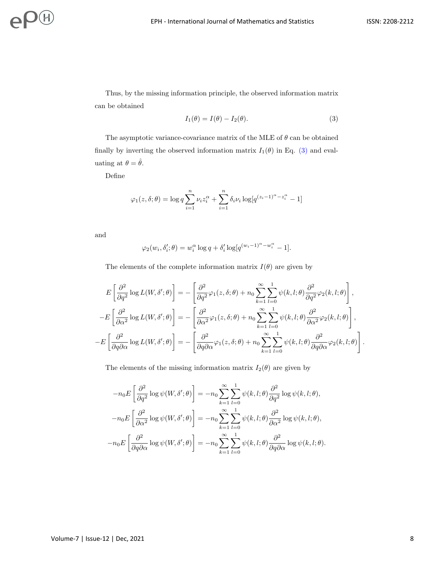Thus, by the missing information principle, the observed information matrix can be obtained

<span id="page-7-0"></span>
$$
I_1(\theta) = I(\theta) - I_2(\theta). \tag{3}
$$

The asymptotic variance-covariance matrix of the MLE of  $\theta$  can be obtained finally by inverting the observed information matrix  $I_1(\theta)$  in Eq. [\(3\)](#page-7-0) and evaluating at  $\theta = \hat{\theta}$ .

Define

$$
\varphi_1(z,\delta;\theta) = \log q \sum_{i=1}^n \nu_i z_i^{\alpha} + \sum_{i=1}^n \delta_i \nu_i \log[q^{(z_i-1)^{\alpha} - z_i^{\alpha}} - 1]
$$

and

$$
\varphi_2(w_i, \delta'_i; \theta) = w_i^{\alpha} \log q + \delta'_i \log[q^{(w_i - 1)^{\alpha} - w_i^{\alpha}} - 1].
$$

The elements of the complete information matrix  $I(\theta)$  are given by

$$
E\left[\frac{\partial^2}{\partial q^2}\log L(W,\delta';\theta)\right] = -\left[\frac{\partial^2}{\partial q^2}\varphi_1(z,\delta;\theta) + n_0\sum_{k=1}^{\infty}\sum_{l=0}^1\psi(k,l;\theta)\frac{\partial^2}{\partial q^2}\varphi_2(k,l;\theta)\right],
$$
  
\n
$$
-E\left[\frac{\partial^2}{\partial \alpha^2}\log L(W,\delta';\theta)\right] = -\left[\frac{\partial^2}{\partial \alpha^2}\varphi_1(z,\delta;\theta) + n_0\sum_{k=1}^{\infty}\sum_{l=0}^1\psi(k,l;\theta)\frac{\partial^2}{\partial \alpha^2}\varphi_2(k,l;\theta)\right],
$$
  
\n
$$
-E\left[\frac{\partial^2}{\partial q\partial \alpha}\log L(W,\delta';\theta)\right] = -\left[\frac{\partial^2}{\partial q\partial \alpha}\varphi_1(z,\delta;\theta) + n_0\sum_{k=1}^{\infty}\sum_{l=0}^1\psi(k,l;\theta)\frac{\partial^2}{\partial q\partial \alpha}\varphi_2(k,l;\theta)\right].
$$

The elements of the missing information matrix  $I_2(\theta)$  are given by

$$
-n_0 E\left[\frac{\partial^2}{\partial q^2} \log \psi(W, \delta'; \theta)\right] = -n_0 \sum_{k=1}^{\infty} \sum_{l=0}^{1} \psi(k, l; \theta) \frac{\partial^2}{\partial q^2} \log \psi(k, l; \theta),
$$

$$
-n_0 E\left[\frac{\partial^2}{\partial \alpha^2} \log \psi(W, \delta'; \theta)\right] = -n_0 \sum_{k=1}^{\infty} \sum_{l=0}^{1} \psi(k, l; \theta) \frac{\partial^2}{\partial \alpha^2} \log \psi(k, l; \theta),
$$

$$
-n_0 E\left[\frac{\partial^2}{\partial q \partial \alpha} \log \psi(W, \delta'; \theta)\right] = -n_0 \sum_{k=1}^{\infty} \sum_{l=0}^{1} \psi(k, l; \theta) \frac{\partial^2}{\partial q \partial \alpha} \log \psi(k, l; \theta).
$$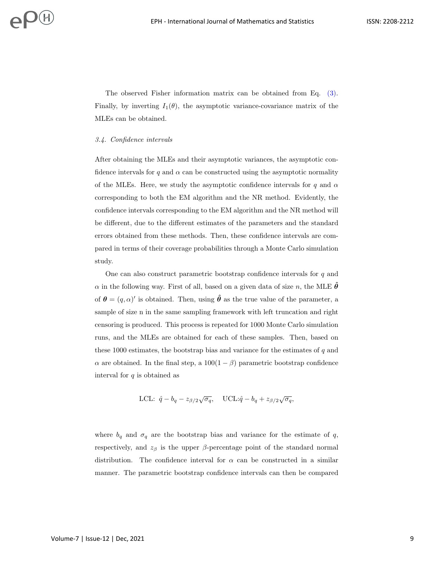The observed Fisher information matrix can be obtained from Eq. [\(3\).](#page-7-0) Finally, by inverting  $I_1(\theta)$ , the asymptotic variance-covariance matrix of the MLEs can be obtained.

#### 3.4. Confidence intervals

After obtaining the MLEs and their asymptotic variances, the asymptotic confidence intervals for q and  $\alpha$  can be constructed using the asymptotic normality of the MLEs. Here, we study the asymptotic confidence intervals for q and  $\alpha$ corresponding to both the EM algorithm and the NR method. Evidently, the confidence intervals corresponding to the EM algorithm and the NR method will be different, due to the different estimates of the parameters and the standard errors obtained from these methods. Then, these confidence intervals are compared in terms of their coverage probabilities through a Monte Carlo simulation study.

One can also construct parametric bootstrap confidence intervals for q and  $\alpha$  in the following way. First of all, based on a given data of size n, the MLE  $\ddot{\theta}$ of  $\theta = (q, \alpha)'$  is obtained. Then, using  $\hat{\theta}$  as the true value of the parameter, a sample of size n in the same sampling framework with left truncation and right censoring is produced. This process is repeated for 1000 Monte Carlo simulation runs, and the MLEs are obtained for each of these samples. Then, based on these 1000 estimates, the bootstrap bias and variance for the estimates of  $q$  and  $\alpha$  are obtained. In the final step, a  $100(1 - \beta)$  parametric bootstrap confidence interval for  $q$  is obtained as

$$
\text{LCL:} \ \hat{q} - b_q - z_{\beta/2} \sqrt{\sigma_q}, \quad \text{UCL:} \hat{q} - b_q + z_{\beta/2} \sqrt{\sigma_q},
$$

where  $b_q$  and  $\sigma_q$  are the bootstrap bias and variance for the estimate of q, respectively, and  $z_\beta$  is the upper  $\beta$ -percentage point of the standard normal distribution. The confidence interval for  $\alpha$  can be constructed in a similar manner. The parametric bootstrap confidence intervals can then be compared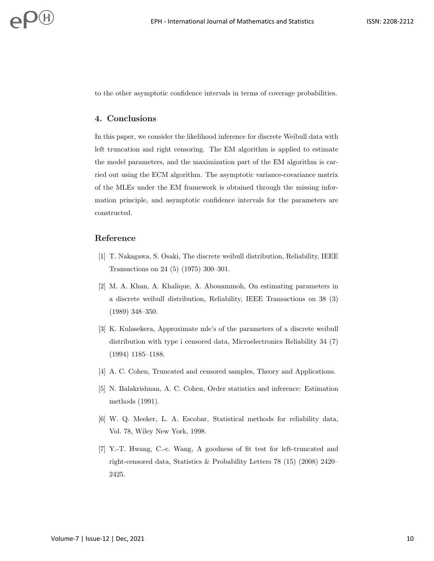<span id="page-9-3"></span>to the other asymptotic confidence intervals in terms of coverage probabilities.

### 4. Conclusions

In this paper, we consider the likelihood inference for discrete Weibull data with left truncation and right censoring. The EM algorithm is applied to estimate the model parameters, and the maximization part of the EM algorithm is carried out using the ECM algorithm. The asymptotic variance-covariance matrix of the MLEs under the EM framework is obtained through the missing information principle, and asymptotic confidence intervals for the parameters are constructed.

# Reference

- <span id="page-9-0"></span>[1] T. Nakagawa, S. Osaki, The discrete weibull distribution, Reliability, IEEE Transactions on 24 (5) (1975) 300–301.
- [2] M. A. Khan, A. Khalique, A. Abouammoh, On estimating parameters in a discrete weibull distribution, Reliability, IEEE Transactions on 38 (3) (1989) 348–350.
- <span id="page-9-1"></span>[3] K. Kulasekera, Approximate mle's of the parameters of a discrete weibull distribution with type i censored data, Microelectronics Reliability 34 (7) (1994) 1185–1188.
- <span id="page-9-2"></span>[4] A. C. Cohen, Truncated and censored samples, Theory and Applications.
- [5] N. Balakrishnan, A. C. Cohen, Order statistics and inference: Estimation methods (1991).
- [6] W. Q. Meeker, L. A. Escobar, Statistical methods for reliability data, Vol. 78, Wiley New York, 1998.
- [7] Y.-T. Hwang, C.-c. Wang, A goodness of fit test for left-truncated and right-censored data, Statistics & Probability Letters 78 (15) (2008) 2420– 2425.